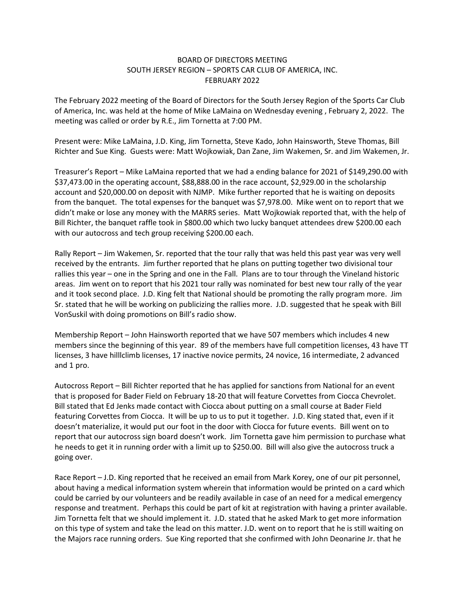## BOARD OF DIRECTORS MEETING SOUTH JERSEY REGION – SPORTS CAR CLUB OF AMERICA, INC. FEBRUARY 2022

The February 2022 meeting of the Board of Directors for the South Jersey Region of the Sports Car Club of America, Inc. was held at the home of Mike LaMaina on Wednesday evening , February 2, 2022. The meeting was called or order by R.E., Jim Tornetta at 7:00 PM.

Present were: Mike LaMaina, J.D. King, Jim Tornetta, Steve Kado, John Hainsworth, Steve Thomas, Bill Richter and Sue King. Guests were: Matt Wojkowiak, Dan Zane, Jim Wakemen, Sr. and Jim Wakemen, Jr.

Treasurer's Report – Mike LaMaina reported that we had a ending balance for 2021 of \$149,290.00 with \$37,473.00 in the operating account, \$88,888.00 in the race account, \$2,929.00 in the scholarship account and \$20,000.00 on deposit with NJMP. Mike further reported that he is waiting on deposits from the banquet. The total expenses for the banquet was \$7,978.00. Mike went on to report that we didn't make or lose any money with the MARRS series. Matt Wojkowiak reported that, with the help of Bill Richter, the banquet raffle took in \$800.00 which two lucky banquet attendees drew \$200.00 each with our autocross and tech group receiving \$200.00 each.

Rally Report – Jim Wakemen, Sr. reported that the tour rally that was held this past year was very well received by the entrants. Jim further reported that he plans on putting together two divisional tour rallies this year – one in the Spring and one in the Fall. Plans are to tour through the Vineland historic areas. Jim went on to report that his 2021 tour rally was nominated for best new tour rally of the year and it took second place. J.D. King felt that National should be promoting the rally program more. Jim Sr. stated that he will be working on publicizing the rallies more. J.D. suggested that he speak with Bill VonSuskil with doing promotions on Bill's radio show.

Membership Report – John Hainsworth reported that we have 507 members which includes 4 new members since the beginning of this year. 89 of the members have full competition licenses, 43 have TT licenses, 3 have hilllclimb licenses, 17 inactive novice permits, 24 novice, 16 intermediate, 2 advanced and 1 pro.

Autocross Report – Bill Richter reported that he has applied for sanctions from National for an event that is proposed for Bader Field on February 18-20 that will feature Corvettes from Ciocca Chevrolet. Bill stated that Ed Jenks made contact with Ciocca about putting on a small course at Bader Field featuring Corvettes from Ciocca. It will be up to us to put it together. J.D. King stated that, even if it doesn't materialize, it would put our foot in the door with Ciocca for future events. Bill went on to report that our autocross sign board doesn't work. Jim Tornetta gave him permission to purchase what he needs to get it in running order with a limit up to \$250.00. Bill will also give the autocross truck a going over.

Race Report – J.D. King reported that he received an email from Mark Korey, one of our pit personnel, about having a medical information system wherein that information would be printed on a card which could be carried by our volunteers and be readily available in case of an need for a medical emergency response and treatment. Perhaps this could be part of kit at registration with having a printer available. Jim Tornetta felt that we should implement it. J.D. stated that he asked Mark to get more information on this type of system and take the lead on this matter. J.D. went on to report that he is still waiting on the Majors race running orders. Sue King reported that she confirmed with John Deonarine Jr. that he